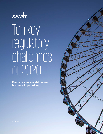

# Ten key regulatory challenges of 2020

**Financial services risk across business imperatives**

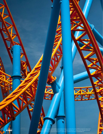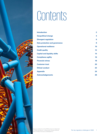# Contents

| <b>Introduction</b>                   | $\overline{2}$ |
|---------------------------------------|----------------|
| <b>Geopolitical change</b>            | 4              |
| <b>Divergent regulation</b>           | 6              |
| <b>Data protection and governance</b> | 8              |
| <b>Operational resilience</b>         | 10             |
| <b>Credit quality</b>                 | 12             |
| <b>Capital and liquidity shifts</b>   | 14             |
| <b>Compliance agility</b>             | 16             |
| <b>Financial crimes</b>               | 18             |
| <b>Customer trust</b>                 | 20             |
| <b>Ethical conduct</b>                | 22             |
| <b>Appendix</b>                       | 24             |
| <b>Acknowledgements</b>               | 26             |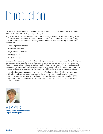# Introduction

On behalf of KPMG's Regulatory Insights, we are delighted to issue the fifth edition of our annual Financial Services Ten Key Regulatory Challenges.

Regulators and public policy decision-makers are struggling with not only the pace of change within the financial services industry but also the interconnectivity of industries via data and technology. In 2020, we expect key regulatory challenges to be connected with the following core business imperatives:

- Technology transformation
- Customer interaction
- Payments modernization
- Market expansion
- Cost efficiencies

Geopolitical protectionism as well as divergent regulatory obligations across jurisdictions globally and between state and federal entities will continue to challenge financial services risk and compliance. Rapid and personalized customer experience and regulatory cross-industry focus on anti-trust and competition will drive additional challenges to enhancing operational resilience, data governance, fair markets, and customer treatment, while keeping all within ethical and sound conduct practices.

In the following pages, we evaluate how each of the Ten Key Regulatory Challenges aligns with and is influenced by the changes prompted by the core business imperatives. We hope this paper will provide you and your organization with valuable insights to consider throughout 2020, and would welcome the opportunity to assist you with developing strategies to meet this year's regulatory challenges.



Amy Matsuo **Principal and National Leader Regulatory Insights**

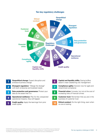



- **1 Geopolitical change:** Expect disruption and embrace business change
- **2 Divergent regulation:** "Merge the diverge" with both enterprise and localized needs

**3**

**5**

- **Data protection and governance: Protect your** data as the asset that it is
- **4 Operational resilience:** Plan for the unexpected operational impacts, they will happen
	- **Credit quality:** Apply the learnings from prior credit cycles





- **Compliance agility:** Solution now for agile and streamlined compliance
- **8**
	- **Financial crime:** Innovate, but not at the cost of increasing risks of financial crimes



**Customer trust:** Remember that you are in the business of customer trust

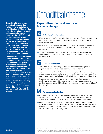# Geopolitical change

## **Expect disruption and embrace business change**

# **Technology transformation**

- Multiple applications for digitization, including customer focus and operations focus (e.g., real –time monitoring of fraud/financial crime, and internal risk management)
- Cyber attacks can be fueled by geopolitical tensions; may be directed at a country's government, citizens, or businesses; and motivated by theft or vandalism
- Jurisdictional differences in the approach to regulation and supervision of technology innovations and technology firms may impact operational resiliency risks

### **Customer interaction**

- The EU's GDPR is influencing customer expectations and legislative/ regulatory actions in data privacy/security on a global scale
- The transition away from LIBOR in favor of new alternate reference rates will impact product offerings and pricing across multiple jurisdictions though the new rates are expected to better insulate jurisdictions from geopolitical risks
- Customer demand for personalization and seamless global access to products and services is driving risks related to technology development, third-party relationships, ESG policies, new products and services, and fraud/ financial crimes

#### **Payments modernization**

- Policies and regulations in countries outside of the U.S. that are actively deploying real-time payments and "open banking" will likely influence customer expectations in the U.S. and potentially federal public policy
- Regulators are concerned that digital assets, including cryptocurrencies, could be used for illicit activities, such as cybercrime, tax evasion, and human trafficking, though not all jurisdictions require money transmitters to comply with Bank Secrecy Act-like obligations

**Geopolitical trends toward protectionism, sovereign rights, and anti-globalization prevailing in the U.S. and other countries introduce increased policy uncertainties and regulatory risks. U.S. financial services companies must expect that such uncertainty will create disruptions even as they continue to implement governance and controls to address divergent policies and regulations and regularly reassess operations to identify necessary business changes.**

**Geopolitical changes related to monetary policies, economic developments, trade agreements and sanctions, and specific regulations/requirements (e.g., KYC, beneficial ownership, GDPR, MIFID II, comparability determinations) will have the most impact near term. However, companies must also be alert to a heightened risk of fraud and financial crime, which can thrive in states of uncertainty, facilitated by innovative technologies that have made the world smaller and more connected and vulnerable to change.** 

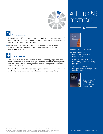



- Uncertainties in U.S. trade policies and the application of sanctions and tariffs impact financial services organizations' operations in the affected markets as well as the activities of its customers
- Financial services organizations should ensure that critical assets and the flow of sensitive information are adequately protected across international locations



#### **Cost efficiencies**

- The use of third and fourth parties to facilitate technology implementation, scale efficiencies, or business strategies must be monitored for compliance and reputation risks as well as geopolitical risk including tariffs, sanctions, and financial crimes
- Persistent world-wide interest rates will pressure firms to consider business model changes and may increase M&A activity across jurisdictions.

# Additional KPMG perspectives



- [Regulating virtual currencies](https://advisory.kpmg.us/articles/2018/regulating-virtual-currencies.html)
- [Virtual assets and](https://advisory.kpmg.us/articles/2019/virtual-assets-related-providers-fatf.html)  [related providers—FATF](https://advisory.kpmg.us/articles/2019/virtual-assets-related-providers-fatf.html)  [recommendations](https://advisory.kpmg.us/articles/2019/virtual-assets-related-providers-fatf.html)
- [Gaps in meeting BCBS risk](https://advisory.kpmg.us/articles/2018/bcbs-risk-data-aggregation.html)  [data aggregation and reporting](https://advisory.kpmg.us/articles/2018/bcbs-risk-data-aggregation.html)  [principles](https://advisory.kpmg.us/articles/2018/bcbs-risk-data-aggregation.html)
- [The FSOC Annual Report](https://advisory.kpmg.us/articles/2019/fsocs-report-highlights-emerging-risk-vulnerability.html)  [highlights areas of emerging risk](https://advisory.kpmg.us/articles/2019/fsocs-report-highlights-emerging-risk-vulnerability.html)  [and vulnerability](https://advisory.kpmg.us/articles/2019/fsocs-report-highlights-emerging-risk-vulnerability.html)



[Have you heard?](https://advisory.kpmg.us/content/dam/advisory/en/pdfs/2019/have-you-heard-libor-ends-2021.pdf)  [LIBOR ends 2021;](https://advisory.kpmg.us/content/dam/advisory/en/pdfs/2019/have-you-heard-libor-ends-2021.pdf)  **Communicating** [the transition](https://advisory.kpmg.us/content/dam/advisory/en/pdfs/2019/have-you-heard-libor-ends-2021.pdf)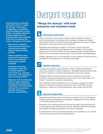**Financial service companies will need to learn to "merge the diverge" with respect to regulation—anticipating continued differences in state, federal, and global regulations amidst protectionist and localized public policy agendas in the U.S. and abroad. Key areas of divergence will include:**

- **Data privacy regulation, cyber security, student loan servicing and cannabis industry-related banking services**
- **Tailored regulatory and supervisory expectations to risk and complexity, diverging from global standards**
- **Innovative technology applications where new or refined regulations may evolve (e.g., payment processors, data aggregators, cloud service providers)**
- **Alignment with non-financial services federal regulators, including DOJ standards for compliance, FTC enforcement authority for data privacy, and DOL influence in fiduciary responsibilities.**

# Divergent regulation

## **"Merge the diverge" with both enterprise and localized needs**



- While continuing to encourage innovation, federal regulators (banking and non-banking) are moving away from exploratory reviews and toward setting parameters for innovative technology applications through increased supervision, horizontal exams, and enforcement
- Regulators are expanding oversight to third-party vendors and other relationships that facilitate rapid deployment or scalability of technology applications for financial entities but may operate outside of prudential bank supervision (such as payment processors, cloud providers, data aggregators)
- Globally, regulators vary in their approach to encouraging and supervising the development and application of innovative technology

#### **Customer interaction**

- Throughout the election cycle, attention will be on federal standards for consumer protection in specific areas (e.g., affordable housing, student debt) and also in relation to innovative technology and supervisory easing.
- Individual states are enhancing their focus on consumer and investor protection, including state attorneys actions, and in some cases have "set the bar" nationally for customer expectations
- SEC's Regulation Best Interest did not set a fiduciary standard for brokerdealers but also did not preempt states laws; DOL and FINRA are each expected to release new fiduciary/suitability rules to align with the SEC

### **Payments modernization**

- Regulations governing virtual currencies are evolving in the U.S. and abroad though public policy debate around regulatory safeguards, financial stability, and monetary policies continues
- Merchants and nonbanking financial services providers have a growing role in emerging payment channels and services, highlighting differences across banking and non-banking regulation and industry standards
- A private-sector real-time payments process is now available to U.S. markets and a public-sector process is being developed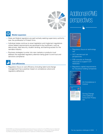

- State and federal regulators are each actively seeking supervisory authority over the proliferation of fintech firms
- Individual states continue to enact legislation and implement regulations where federal requirements are perceived to be insufficient, such as data privacy, data security, student lending, and banking access for the cannabis industry
- Business strategies to enter into new markets or products must address the expanded regulatory attention being given to anti-trust and sanctions compliance

#### **Cost efficiencies**

— Regulatory focus on cost efficiency (including talent and change management) has a positive impact on compliance culture and regulatory adherence

# Additional KPMG **perspectives**



- [Regulatory focus on technology](https://advisory.kpmg.us/articles/2019/regulatory-focus-technology-risk.html)  [risk](https://advisory.kpmg.us/articles/2019/regulatory-focus-technology-risk.html)
- [OCC semiannual risk](https://advisory.kpmg.us/articles/2019/occ-semiannual-risk-perspectives.html)  [perspectives](https://advisory.kpmg.us/articles/2019/occ-semiannual-risk-perspectives.html)
- [FSB consults on financial](http://www.kpmginfo.com/NDPPS/2018/827820/FSBandCCPresolution.pdf)  [resources to support CCP](http://www.kpmginfo.com/NDPPS/2018/827820/FSBandCCPresolution.pdf)  [resolution](http://www.kpmginfo.com/NDPPS/2018/827820/FSBandCCPresolution.pdf)
- [Regulatory capital requirements](https://advisory.kpmg.us/articles/2019/regulatory-capital-for-holding-companies.html)  [for insurance holding companies](https://advisory.kpmg.us/articles/2019/regulatory-capital-for-holding-companies.html)



AI | Compliance in **[Control](https://advisory.kpmg.us/articles/2019/ai-compliance-in-control.html)** 



[Driving Change](https://advisory.kpmg.us/content/dam/advisory/en/pdfs/driving-change.pdf)  [| The California](https://advisory.kpmg.us/content/dam/advisory/en/pdfs/driving-change.pdf)  [Consumer Privacy](https://advisory.kpmg.us/content/dam/advisory/en/pdfs/driving-change.pdf)  [Act](https://advisory.kpmg.us/content/dam/advisory/en/pdfs/driving-change.pdf)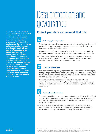# Data protection and overnance

### **Protect your data as the asset that it is Financial services providers and Protect your data as the asset that it is**



#### **Technology transformation**

- Technology advances allow for more granular data classifications that permit tracking for sourcing, retention, access, use, and disposal via business functions and third-party relationships
- Dependence on third-party vendors for rapid deployment or scalability of technology applications can give rise to governance and accountability risks
- To keep pace with evolving technology, regulators expect cybersecurity strategies to be forward-looking and to address data protection, cloud security, threat simulations, and a layering of solutions.

# **Customer interaction**

- Public policies and regulatory supervision and enforcement are focusing on strong data governance and controls, including KYC, suspicious activity, and fraud while customers focus on ownership and control, including collection, storage, use, disposal, and portability
- Some organizations, independent of regulatory requirements, are reconsidering policies regarding opt-in and opt-out procedures, the scope of data to be collected, how and by whom it is accessed, and how it will be used or shared

#### **Payments modernization**

- The push toward faster payments reduces the time available to detect fraud and suspicious transactions, potentially compromising data privacy/security and financial crimes compliance and increasing the need for strong thirdparty risk management
- Technology leveraging biometric authentication (i.e., fingerprint, face features, heart rate) may assist in establishing a more secure payments environment but may also carry new privacy and data security risks

**recognize data as an asset that increasing needs protection via robust data governance and controls across their organization and through to third parties. Data is constantly collected, monitored, used, and shared though it is the quality of the data and its ethical uses that are key to protecting proprietary, operational, and customer information. Continued data breaches and data sharing incidents are influencing public and regulatory expectations for increasingly stringent data privacy and security requirements ensuring public policy and enforcement will continue at the local, federal, and global levels.**

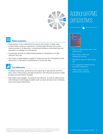

# Additional KPMG **perspectives**



- [Focus on data privacy policy and](https://advisory.kpmg.us/articles/2019/focus-on-data-privacy-policy-and-enforcement.html)  [enforcement](https://advisory.kpmg.us/articles/2019/focus-on-data-privacy-policy-and-enforcement.html)
- [SEC privacy notice and](https://advisory.kpmg.us/articles/2019/sec-privacy-notice-safeguards-policies.html)  [safeguards policies](https://advisory.kpmg.us/articles/2019/sec-privacy-notice-safeguards-policies.html)
- [Regulatory focus on technology](https://advisory.kpmg.us/articles/2019/regulatory-focus-technology-risk.html)  [risk](https://advisory.kpmg.us/articles/2019/regulatory-focus-technology-risk.html)
- [FTC proposes amendments to](https://advisory.kpmg.us/articles/2019/ftc-proposes-amendments-to-the-glba-regulations.html)  [the GLBA regulations](https://advisory.kpmg.us/articles/2019/ftc-proposes-amendments-to-the-glba-regulations.html)
- [FINRA report outlines](https://advisory.kpmg.us/articles/2019/finra-report-outlines-cybersecurity-practices.html)  [cybersecurity practices](https://advisory.kpmg.us/articles/2019/finra-report-outlines-cybersecurity-practices.html)

#### **Market expansion**

- Organizations must understand the source and content of data used to personalize customer experience, including data derived from social media sources or AI data sets, to proactively address unintended bias and reputation or strategic risk and abroad
- Increasingly, brands are differentiating based on transparency of data collection and use
- The threat of cyber-attacks is global in scope and can be motivated by theft, destruction, or disruption of proprietary or consumer data

#### **Cost efficiencies**

- Increased awareness, governance and reporting of reputational and third party risks in data privacy and data protection will influence business model, process and automation changes
- Data-reliant technologies, including AI and robotics, as well as relationships with third-party technology providers such as cloud servicers are increasing cost and process efficiencies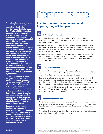# Operational resilience

## **Plan for the unexpected operational impacts, they will happen**

**a key risk focus for regulators amidst ongoing business transformation that is increasing firms' vulnerabilities, including regulatory and operational change management, new technology and data governance strategies (e.g., cloud), expanded use of third parties (e.g., payments processors, data aggregators), enhanced risk management practices (including third party and reputation risks) and integrated risk, operations, and compliance. Regulators are taking an increasingly broad view of operational resilience, expecting firms to not only control for operational risk but also to manage disruptions when they occur with an eye toward preserving the continuity of key business services (inclusive of, but greater than, IT systems and cyber security).**

**Operational resilience will remain** 

**As such, operational resilience integrates core elements of business continuity planning, operational risk (inclusive of third party) and concentration risk analysis. Further, firms must understand: the impact of critical system failures on their key businesses, counterparties, and markets; the systems that support their critical business activities; and the effectiveness of solutions and controls to protect those systems.**

**In today's interconnected business environment, firms must also consider that potential threats or disruptions to their operations may be generated from sources outside of financial services, such as cyber crimes, sociopolitical changes, or environmental risks.**

#### **Technology transformation**

- Operational Resilience provides a useful lens for firms to prioritize investment decisions for modernizing legacy systems and strengthening technology infrastructure
- Dependencies and interconnectedness between internal and third party technology assets must be mapped, analyzed, and tested to validate the feasibility of stated recovery time objectives and achieve resumption of the end-to-end business service
- Heightened regulatory attention to competition and anti-trust, especially with regard to digital technology platforms and cloud services, must be considered when selecting/maintaining third-party relationships and/or acquisitions activity

# **Customer interaction**

- Operational Resilience emphasizes the responsibility of financial services companies to maintain customer trust by delivering services consistently and with high quality, even when systemic shocks do occur
- Internal and external communications plans are needed to provide timely information to, and manage the expectations of, customers, other market participants, and regulators following a disruptive event; communications can help to restore confidence in the company and preserve its reputation
- Evaluate the firm's ability to meet evolving customer expectations for the continuity of financial services products and services, including mobile and web-based services that operate 24/7

#### **Payments modernization**

- Customer expectations for payments speed affects the resilience thresholds and tolerances for payments disruptions; disruptions in payment processing have the potential for serious financial harm to consumers and corporate clients
- Operational Resilience emphasizes the security of payments along the value chain, including during handoffs with third parties

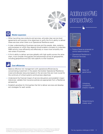

- When launching new products and services, articulate clear service level agreements and recovery time objectives to verify the firm's ability to deliver these services when there is an Operational Resilience event
- A clear understanding of business services and the people, data, systems, and processes on which they depend should enable a company to undertake M&A activity more efficiently and effectively or move more smoothly into new areas of business.
- A firm's ability to deliver services globally with high quality across the value chain, must consider third parties and partnerships across all geographies, including geopolitical and ESG risks specific to their locations



#### **Cost efficiencies**

- Balance effective risk management with operational efficiencies by concentrating investment in the assets that bolster Operational Resilience; invest and allocate resources based on the services that are most crucial for the continuity of critical systems and business objectives
- Understand the financial impact of service disruptions and establish impact tolerances; validate that insurance policies are appropriate from a Resilience perspective
- Establish penalties for third parties that fail to deliver services and develop exit strategies for each vendor

# Additional KPMG perspectives



- [Federal Reserve proposal on](https://advisory.kpmg.us/articles/2019/federal-reserve-proposal-on-control-determinations.html)  [control determinations](https://advisory.kpmg.us/articles/2019/federal-reserve-proposal-on-control-determinations.html)
- [Operational Resilience in](https://assets.kpmg/content/dam/kpmg/xx/pdf/2019/06/operational-resilience-in-financial-services.pdf)  [Financial Services](https://assets.kpmg/content/dam/kpmg/xx/pdf/2019/06/operational-resilience-in-financial-services.pdf)



[Data rich](https://advisory.kpmg.us/articles/2018/data-rich-governance.html)  [governance](https://advisory.kpmg.us/articles/2018/data-rich-governance.html)



[Unlocking](https://advisory.kpmg.us/articles/2019/unlocking-compliance-analytic-insights.html)  [compliance](https://advisory.kpmg.us/articles/2019/unlocking-compliance-analytic-insights.html)  [analytic insights](https://advisory.kpmg.us/articles/2019/unlocking-compliance-analytic-insights.html)



[Streamlining to](https://advisory.kpmg.us/articles/2018/streamlining-to-create-value.html)  [create value](https://advisory.kpmg.us/articles/2018/streamlining-to-create-value.html)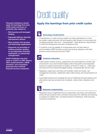**apply the learnings from prior credit cycles and focus on potential risks related to:**

- **Risk layering and leveraged lending**
- **Expanded delivery channels and payment options**
- **New products and services and technology applications**
- **Exposures via securities or trading activities, lending to non-depository financial institutions, or partnership arrangements.**

**Credit challenges may also come in relation to GSE reforms, CECL implementation, LIBOR transition, and competitive pressures from nonbank financial services companies.**

# Credit quality

# Financial institutions should **Apply the learnings from prior credit cycles**



- AI applications in credit scoring models can help organizations to more accurately model and price risk (and expand credit access to consumers) but increases potential risks from "unexplainable" credit decisions, learned bias, or other fair lending and consumer compliance risks.
- IT systems must be capable of incorporating new risk-free rates to accommodate LIBOR transition across loan pricing, deposits, and other products and services by the end of 2021

# **Customer interaction**

- Credit quality remains strong, supported by the prolonged low interest rate environment, but a trend toward eased underwriting terms and expanded access for subprime borrowers is evident, primarily in retail (i.e., credit card and auto) and commercial leveraged lending, increasing debt service risks
- Regulatory supervisory priorities will consider credit risk trends, risk management practices, weakened credit underwriting, and concentrations of credit
- Automated systems are changing the role of traditional financial advisers and altering the way loan products are marketed, underwritten, delivered, and sold

### **Payments modernization**

— Regulators have a heightened focus on payments, servicing, and collections across all loan products that is aimed at ensuring firms' practices are evolving to respond to related risks, including financial crimes/fraud, while ensuring consumer protections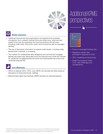

- Traditional financial services organizations are experiencing increased competition from nonbank financial firms and others (e.g., retail and real estate firms) that are expanding into financial products and services, including credit cards, short-term credit, and insurance as well as leveraged lending
- The use of alternative information to expand credit access, including underbanked and un-banked, is increasing
- The markets for collateralized debt obligations and commercial mortgagebacked securities have rebounded since the financial crisis while the markets for residential mortgage-backed securities and asset-backed securities have remained relatively flat

#### **Cost efficiencies**

- Efforts to address SCCL, CECL, and LIBOR will coincide and likely pressure allocations of resources (funds, staffing)
- Machine learning/AI may facilitate LIBOR transition at reduced expense

# Additional KPMG perspectives



- [Focus on leveraged lending risks](https://advisory.kpmg.us/articles/2019/focus-on-leveraged-lending-risks.html)
- [Regulatory capital rules](https://advisory.kpmg.us/articles/2019/regulatory-capital-rules-amended.html)  [amended in response to CECL](https://advisory.kpmg.us/articles/2019/regulatory-capital-rules-amended.html)
- [CECL modeling and accounting](https://advisory.kpmg.us/services/data-analytics/risk-analytics/cecl-modeling-and-accounting.html)
- [Single Counterparty Credit](https://advisory.kpmg.us/content/dam/advisory/en/pdfs/2019/single-counterparty-rule.pdf)  [Limit—Key challenges and](https://advisory.kpmg.us/content/dam/advisory/en/pdfs/2019/single-counterparty-rule.pdf)  [considerations](https://advisory.kpmg.us/content/dam/advisory/en/pdfs/2019/single-counterparty-rule.pdf)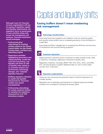**Although most U.S. financial services organizations will see an easing of regulatory capital and liquidity requirements, the regulatory focus on governance of such activities along with sound risk management will continue. Financial institutions should anticipate:**

- **Forthcoming final rulemakings for banking entities related to the Stress Capital Buffer, the Net Stable Funding Ratio, and Total Loss Absorbing Capital**
- **Supervisory priorities highlighting governance over capital planning, model risk, cash flow forecasting, and liquidity risk limits as well as liquidity risks related to an uncertain interest rate environment, technology changes, and "untested depositor behavior"**
- **Building regulatory attention to capital and liquidity frameworks for insurance entities and central counterparties**
- **Forthcoming rulemakings for certain nonbank entities to complete the regulatory framework for U.S. OTC derivatives markets**

# Capital and liquidity shifts

## **Easing buffers doesn't mean weakening risk management**

**Technology transformation**

- Automated document ingestion and validation tools are reducing capital and liquidity stress buffers due to increased granularity of and confidence in model data
- Automated workflow management is increasing the efficiency and accuracy of transactions and controls testing programs

### **Customer interaction**

- Digital payments networks permit customers to easily transfer funds, often in real-time, increasing a depository institution's liquidity risks.
- Regulatory initiatives, including LIBOR, FDIC 370, CECL, SCCL, and AML/ KYC, are driving banks to gather additional data on, and in some cases connect with, customers.

#### **Payments modernization**

- Treasurers are monitoring the potential impact of real-time payments on intraday liquidity
- Regulators are increasingly pushing banks to integrate payments-related stresses into contingency funding and recovery plans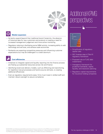

- As banks expand beyond their traditional branch footprints, the absence of historical data for new customers and products is creating a need for increased management judgement and more active monitoring
- Regulatory tailoring is facilitating some M&A activity, increasing ability to add technology and services, and achieve scale economies
- Nonbanks are asserting competitive pressures and influencing customer expectations but may be challenged in a credit downturn.

#### **Cost efficiencies**

- Initiatives to integrate capital and liquidity reporting into the finance process are freeing up substantial resources across risk and finance
- Identifying lower-cost delivery models, such as offshoring and near-shoring, for repetitive manual processes and hard-to-source skill-sets, is creating additional efficiencies
- Even as regulatory requirements ease, firms must invest in skilled staff and maintain robust oversight to assure compliance.

# Additional KPMG perspectives



- [Simplification of regulatory](https://advisory.kpmg.us/articles/2019/simplification-regulatory-capital-rules.html)  [capital rules](https://advisory.kpmg.us/articles/2019/simplification-regulatory-capital-rules.html)
- [SEC finalizes step in Title VII](https://advisory.kpmg.us/articles/2019/sec-step-in-title-vii-regulatory-framework.html)  [regulatory framework](https://advisory.kpmg.us/articles/2019/sec-step-in-title-vii-regulatory-framework.html)
- [Proposed rule on TLAC debt](https://advisory.kpmg.us/articles/2019/proposed-rule-on-tlac-debt-investments.html)  [investments](https://advisory.kpmg.us/articles/2019/proposed-rule-on-tlac-debt-investments.html)
- [Interagency framework for](https://advisory.kpmg.us/articles/2019/interagency-framework.html)  [prudential standards, capital,](https://advisory.kpmg.us/articles/2019/interagency-framework.html)  [liquidity, and resolution planning](https://advisory.kpmg.us/articles/2019/interagency-framework.html)
- [Regulatory capital requirements](https://advisory.kpmg.us/articles/2019/regulatory-capital-for-holding-companies.html)  [for insurance holding companies](https://advisory.kpmg.us/articles/2019/regulatory-capital-for-holding-companies.html)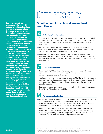# Compliance agility

## **Solution now for agile and streamlined compliance**

# **Technology transformation**

- The use of fintech incubators and partnerships, and ongoing adoption of AI and cloud services (in business, middle and back office) requires enhanced due diligence, compliance risk management, and monitoring and testing processes
- Evolving technologies, including data analytics and natural language processing, enable firms to evaluate pools of structured and unstructured data to proactively identify potential compliance risks
- Agile legal and compliance integration will facilitate ongoing adoption of technology advances; regulators will expect companies to understand and be able to explain outcomes resulting from applications of new or enhanced technologies

# **Customer interaction**

- Integrated KYC/AML and compliance controls will enhance risk-based assessments and streamline processes from due diligence through monitoring, escalation and off-boarding
- Applications of innovative technologies, such as ML/AI and cloud computing, may increase certain customer protection risks including bias, accessibility, and data privacy though these applications are not yet fully covered by specific regulation
- Key areas of compliance for customer protections will include data privacy, UDAP/UDAAP, Best Interest, and CRA

### **Payments modernization**

- As new payment channels and products are deployed, compliance concerns continue to focus on regulatory requirements in financial crimes and investor/customer protection, including data privacy, UDAP/UDAAP, fees and disclosures, funds availability, third party risk management
- Regulatory focus on crypto assets, non-bank and online processing, realtime payments, and crowdfunding is evolving, in some cases prompting a rethinking/reordering of certain compliance processes (such as "prevalidation") to facilitate faster technologies and transactions

**change and efficiency will both drive and transform legal and compliance operations. The speed of change within financial services necessitates that companies anticipate and adapt to emerging risks and ongoing transformation across multiple fronts, including technology advances, process improvements, regulatory developments, new market entrants, and shifting consumer preferences. Regulatory focus on the technology sector will directly impact business strategy given attention to anti-trust, sanctions, and operational resilience risks; it will also spotlight customer protection risks, including bias, accessibility, and privacy especially with regard to machine learning, AI, and cloud services. Regulators will expect companies to understand and explain outcomes of new technology applications/ enhancements as well as the roles and responsibilities third-party service providers. Compliance challenges will remain in core areas of conduct/ ethics, financial crimes, customer protection, and evolving geopolitical risks.** 

**Business imperatives of** 

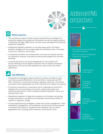

- The compliance program should include comprehensive due diligence of acquisition targets and prospective third parties, as well as ongoing tracking of identified red flags; M&A activity will drive continued legal and compliance operational integration
- Heightened regulatory attention on the technology sector will impact business strategy and may increase legal and compliance risks in the areas of anti-trust, sanctions, and conduct
- Compliance and ethics risk professionals must have the requisite skill set to understand, embrace, and execute evolving technologies and customer demands
- Customer demand is driving the development of new product and service offerings and new delivery channels that can expand compliance expectations such as the ADA's guidelines for web content and mobile applications



## **Cost efficiencies**

- Companies are leveraging regtech solutions to reduce compliance costs and improve overall efficiencies in time and effort in areas such as KYC/ AML, transaction monitoring and testing, regulatory reporting, misconduct; automation and AI applications can shift monitoring from reactive to proactive
- To optimize investments in automation and AI, organizations should first reassess their core processes and controls, assess data quality, and streamline governance in order to address potential reputation, brand, and ethics/conduct risks
- Operational integration of legal and compliance will increase cost savings through reductions in complexity and duplication and enhanced ability to respond to regulatory change
- Co-sourcing/outsourcing strategies in areas like contract management, client onboarding, investigations, and compliance monitoring and testing requires monitoring third parties for compliance and reputation risks as well as geopolitical risks, including tariffs, sanctions, and financial crimes

# Additional KPMG perspectives



- [DOJ expands focus on effective](https://advisory.kpmg.us/articles/2019/focus-on-effective-compliance-programs.html)  [compliance programs](https://advisory.kpmg.us/articles/2019/focus-on-effective-compliance-programs.html)
- [OFAC Framework for Sanctions](https://advisory.kpmg.us/articles/2019/ofac-framework-sanctions-compliance.html)  [Compliance Programs](https://advisory.kpmg.us/articles/2019/ofac-framework-sanctions-compliance.html)



[Streamlining to](https://advisory.kpmg.us/articles/2018/streamlining-to-create-value.html)  [create value](https://advisory.kpmg.us/articles/2018/streamlining-to-create-value.html)



[Innovating](https://advisory.kpmg.us/articles/2018/innovating-compliance-through-automation.html)  [compliance](https://advisory.kpmg.us/articles/2018/innovating-compliance-through-automation.html)  [through](https://advisory.kpmg.us/articles/2018/innovating-compliance-through-automation.html)  [automation](https://advisory.kpmg.us/articles/2018/innovating-compliance-through-automation.html)



[2019 Chief](https://advisory.kpmg.us/articles/2019/2019-cco-survey-gated.html)  [Compliance Officer](https://advisory.kpmg.us/articles/2019/2019-cco-survey-gated.html)  **[Survey](https://advisory.kpmg.us/articles/2019/2019-cco-survey-gated.html)** 



**Unlocking** [compliance](https://advisory.kpmg.us/articles/2019/unlocking-compliance-analytic-insights.html)  [analytic insights](https://advisory.kpmg.us/articles/2019/unlocking-compliance-analytic-insights.html)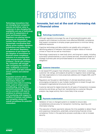# Financial crimes

### **Innovate, but not at the cost of increasing risk of financial crime**

**are changing how companies operate and deliver value to customers is also changing the availability and use of technology and data for perpetrators of fraud and financial crimes. Regulators are placing intense pressures on companies to contain these misconduct risks, increasingly coordinating their efforts across multiple regulatory jurisdictions and bodies in the U.S. and abroad. Regulatory acceptance of and support for the adoption of innovations in financial crimes compliance, inclusive of co-sourcing/third party arrangements, adoption of fintech, and AI will continue. Yet, companies still struggle with navigating the volume of data, multiplicity of sources and systems, and data controls across systems and external parties.**

**Technology innovations that** 

**Expanded controls will be needed to thwart and minimize misconduct, fraud, and financial crime risks in evolving areas, such as virtual assets, crowdfunding, and real time payments processing. Financial service providers will need to continue to enhance controls and monitoring with respect to conflicts of interest, anti-bribery, and corruption along with overall surveillance for potential misconduct.**

### **Technology transformation**

- Although regulators encourage the use of automation/innovation pilot programs and initiatives to promote more effective BSA/AML compliance, they expect companies to employ proper governance to minimize risking additional exposure
- Cognitive technology and data analytics can greatly aid a company in identifying patterns of behavior that present a higher indicia of financial crimes or fraud risk as well as misconduct
- Technology investments to meet both short- and long-term needs, including automation pilots/initiatives or use of shared services, should be based on a strategic business plan and prioritized based on an assessment of risk and obligations

# **Customer interaction**

- A risk based KYC program that refreshes customer information, re-evaluates customer risk ratings, and subjects all parties to negative news screenings, can help organizations to more proactively address and mitigate AML and TF risks and issues.
- Regulators are focused on identification of ultimate beneficial owners, encouraging companies to use multiple mechanisms to break through nontransparent organizational structures during KYC
- Customer demand for digital channels for all types of transactions increases anonymity and drives up fraud risk; transitioning to a customer lifecycle analysis may target activity that is more likely to be unusual

### **Payments modernization**

- Validation of new or changed systems is needed to ensure data completeness and accuracy for transaction monitoring, reporting, and information sharing
- The execution of faster payments reduces the time available to detect fraud and suspicious transactions, potentially compromising financial crimes compliance; friction in the payments process could play a role to increase security

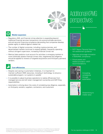

- Regulatory AML and financial crimes attention is expanding beyond traditional financial services transactions into economic/trade sanctions and anti-terrorist financing compliance demanding that companies develop greater agility to defend against related risk
- The number of digital currencies, including cryptocurrencies, and decentralized markets continues to expand globally, frequently operating without stringent supervision, increasing financial crimes risk
- Metrics/ data analytics must account for activities in emerging markets to more holistically assess financial crimes risks; heightened due diligence should be applied to reviews of targeted acquisitions and third-party partners/ vendors.

# ŊД

#### **Cost efficiencies**

- Despite cost saving or automation initiatives, it is important to maintain sufficient SME resources, including in technology, to ensure a sustainable program; run systems in parallel
- It is possible to adjust business operations to realize efficiencies from managed service and still retain management ownership and SAR filing responsibilities
- Automation is driving down the costs of completing due diligence, especially on third-party vendors, suppliers, contractors, and customers

# Additional KPMG perspectives



- [FATF Report: Terrorist financing](https://advisory.kpmg.us/articles/2019/fatf-terrorist-financing-risk-assessment-guidance.html)  [risk assessment guidance](https://advisory.kpmg.us/articles/2019/fatf-terrorist-financing-risk-assessment-guidance.html)
- [Agencies encourage innovation](https://advisory.kpmg.us/articles/2018/agencies-encourage-innovation-bsa.html)  [in BSA/AML compliance](https://advisory.kpmg.us/articles/2018/agencies-encourage-innovation-bsa.html)
- [Virtual assets and](https://advisory.kpmg.us/articles/2019/virtual-assets-related-providers-fatf.html)  [related providers—FATF](https://advisory.kpmg.us/articles/2019/virtual-assets-related-providers-fatf.html)  [recommendations](https://advisory.kpmg.us/articles/2019/virtual-assets-related-providers-fatf.html)



[Innovating](https://advisory.kpmg.us/articles/2018/innovating-compliance-through-automation.html)  [compliance](https://advisory.kpmg.us/articles/2018/innovating-compliance-through-automation.html)  [through](https://advisory.kpmg.us/articles/2018/innovating-compliance-through-automation.html)  [automation](https://advisory.kpmg.us/articles/2018/innovating-compliance-through-automation.html)



[Streamlining to](https://advisory.kpmg.us/articles/2018/streamlining-to-create-value.html)  [create value](https://advisory.kpmg.us/articles/2018/streamlining-to-create-value.html)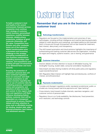# Customer trust

### **Remember that you are in the business of customer trust**

**companies must continue their strategy of customercentric business: personalized experience, mobility between channels, reliable privacy protections, evidence of good corporate citizenship, and fair value. Competition from fintechs and other nonbanks borne out of the industry's digital transformation pose a persistent and increasing challenge to this strategy, prompting consideration of new business combinations (including partnerships, joint ventures, and acquisitions) and pushing all types of transactions to be delivered faster and more securely.**

**To build a customer's trust and loyalty in the current environment, financial services** 

**Ensuring the protection of customers' personal data will drive continued regulatory focus on consumer and retail investor protections as will privacy concerns regarding the sale or use of customer data for marketing purposes, customers' claims and complaints, and questions of data ownership and control. In this regard, state laws and regulations will likely influence developing federal policies; customer trust will be dependent on a transparent commitment to privacy. Election debate will draw attention to areas such as affordable housing, fair lending, student debt, elder financial protection, best interest, and retirement security.** 

## **Technology transformation**

- Regulators are focused on the implementation and outcomes of new technologies, including artificial intelligence and machine learning (particularly related to credit decisions and marketing), and digital platforms and channels (both in-house and through third-parties) with an eye toward fair treatment, best interest, data privacy, and transparency
- The shift toward automation and cloud solutions highlights the importance of authenticating and tracking customer data across the organization, including its origins and integrity, systems location, use or sharing, and governance

#### **Customer interaction**

- Election debate will draw attention to issues of affordable housing, fair lending/fair housing, student debt, consumer and elderly fraud/scams
- Data breach and data sharing incidents will drive public policy and regulatory supervision/enforcement
- SEC Regulation Best Interest will highlight fees and disclosures, conflicts of interest, and ethics/conduct

#### **Payments modernization**

- Complex and divergent regulations and/or standards (jurisdictional, public vs private) are moving toward real-time payments and "open banking"
- Cross-industry trend toward multiple channels, seamless navigation, and customer control of personal data
- Regulatory focus is on funds availability, fee disclosures, fraud prevention, error resolution, and technology controls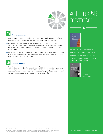

- Complex and divergent regulations (jurisdictional and evolving state) are developing with myriad variation on protections and requirements
- Customer demand is driving the development of new product and service offerings and new delivery channels that can expand compliance expectations such as the ADA's guidelines for web content and mobile applications
- Participation/competition from nonbanks/fintech firms is increasing though customers cannot always distinguish between banks and nonbanks, which may not be subject to banking rules

| ٠ | Ξ<br>. .<br>- |
|---|---------------|

#### **Cost efficiencies**

— Regulators encourage new technologies that expand access or and convenience for customers or bring greater efficiency, risk detection, and accuracy to operations; investments must be tempered by monitoring and controls for reputation and third-party compliance risks

# Additional KPMG perspectives



- [SEC Regulation Best Interest](https://advisory.kpmg.us/articles/2019/sec-regulation-best-interest.html)
- [CFPB debt collection proposal](https://advisory.kpmg.us/articles/2019/cfpb-debt-collection-proposal.html)
- [Renewed focus on Fair Housing](https://advisory.kpmg.us/articles/2019/renewed-focus-on-fair-housing.html)
- [CFPB proposes amendments to](https://advisory.kpmg.us/articles/2019/cfpb-proposes-amendments-to-payday-lending-rule.html)  [Payday Lending Rule](https://advisory.kpmg.us/articles/2019/cfpb-proposes-amendments-to-payday-lending-rule.html)



[Data rich](https://advisory.kpmg.us/articles/2018/data-rich-governance.html)  [governance](https://advisory.kpmg.us/articles/2018/data-rich-governance.html)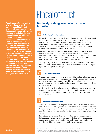# Ethical conduct

**Regulators are focused on the efforts of financial services companies to identify and prevent misconduct at its root. Conduct risk frameworks will be expected to include enhanced monitoring and surveillance, inclusive of advanced technologies and data analytics, as well as ongoing metrics, reporting, and governance. In addition, the framework will be expected to be integrated throughout the operations of the company as part of a culture of ethics and compliance, including demonstrated support by senior management and the board and clear consequences for misconduct. Key areas of concern will include customer data privacy, sales/trading practices, and fair treatment in addition to conflicts of interest, market conduct, incentive compensation plans, and third-party oversight.**

## **Do the right thing, even when no one is looking**

# **Technology transformation**

- Financial services companies are investing in tools and capabilities to identify patterns and trends that can proactively detect and prevent incidents of ethical misconduct, including market manipulation and financial crime; regulators and stakeholders are increasingly expecting investigations of ethical misconduct to help prevent misconduct through diagnosis of systemic weaknesses in control and risk trends
- Automation can enable data validation and aggregation, provide a more formalized reporting loop, and offer an integrated view of potential misconduct; technologies capable of culling data from supporting documents (e.g., pdfs, Word documents) can support investigations and inform multidimensional metrics, enhancing predictive qualities
- The expanding use of artificial intelligence is raising ethical conduct issues related to transparency and machine bias, customer data privacy and digital rights, and third-party data usage

## **Customer interaction**

- Conduct risk management frameworks should be applied enterprise-wide to capture and assess relevant information on incentive compensation plans, customer sales practices,, trading activities, and market integrity in order to demonstrate proactive monitoring and prevention of misconduct and related customer harm
- Qualitative data, such as information gleaned from customer surveys, focus group outreach, complaints portals, and social media commentary, should augment quantitative/hard data statistics regarding ethical conduct and corporate culture

# **Payments modernization**

- Across bank and nonbank participants and the scope of payment channels and delivered services, regulatory concerns and industry standards focus on fair treatment/access and customer protections, including data privacy, funds availability, fee disclosures, fraud prevention, error resolution, and technology controls
- Innovative and evolving technologies facilitate faster transaction screening to keep pace with payments modernization, but can also introduce new regulatory and customer protection risks and increase expectations for supplier and third party procurement and risk management

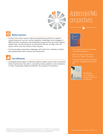

- Conduct and culture issues might be exposed during efforts to expand market presence, such as cultural integration challenges when engaged in M&A activities; employee incentive/reward programs that promote integrityrelated risks; and the presence of subcultures that do not align with the values, ethics, and risk culture of the company
- Continuing talent acquisition challenges will hinder firms' abilities to define and operationalize their conduct risk frameworks

## **Cost efficiencies**

— Leveraging technologies to efficiently define relevant taxonomies at sufficient levels of granularity that aids in uncovering trends, patterns, and correlations in order to generate insight and identify root causes of misconduct

# Additional KPMG perspectives



- DOJ expands focus on effective [compliance programs](https://advisory.kpmg.us/articles/2019/focus-on-effective-compliance-programs.html)
- [Banking culture: supervisory](https://advisory.kpmg.us/articles/2018/banking-culture-supervisory-priority.html)  [priority on 'softer' measures](https://advisory.kpmg.us/articles/2018/banking-culture-supervisory-priority.html)
- [Financial Stability Board releases](https://advisory.kpmg.us/articles/2018/toolkit-for-mitigating-misconduct-risk.html)  [toolkit for mitigating misconduct](https://advisory.kpmg.us/articles/2018/toolkit-for-mitigating-misconduct-risk.html)



[Revamping](https://advisory.kpmg.us/articles/2019/revamping-investigations-future-of-ethics-and-compliance.html)  [investigations:](https://advisory.kpmg.us/articles/2019/revamping-investigations-future-of-ethics-and-compliance.html)  [Future of ethics &](https://advisory.kpmg.us/articles/2019/revamping-investigations-future-of-ethics-and-compliance.html)  [compliance](https://advisory.kpmg.us/articles/2019/revamping-investigations-future-of-ethics-and-compliance.html)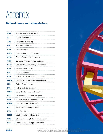# Appendix

# **Defined terms and abbreviations**

| <b>ADA</b>   | Americans with Disabilities Act             |
|--------------|---------------------------------------------|
| Al           | Artificial Intelligence                     |
| <b>AML</b>   | Anti-money laundering                       |
| <b>BHC</b>   | <b>Bank Holding Company</b>                 |
| <b>BSA</b>   | <b>Bank Secrecy Act</b>                     |
| <b>CCPA</b>  | California Consumer Privacy Act             |
| <b>CECL</b>  | <b>Current Expected Credit Losses</b>       |
| <b>CFPB</b>  | <b>Consumer Financial Protection Bureau</b> |
| <b>CFTC</b>  | <b>Commodity Futures Trading Commission</b> |
| <b>DOJ</b>   | Department of Justice                       |
| <b>DOL</b>   | Department of Labor                         |
| <b>ESG</b>   | Environmental, social, and government       |
| <b>FINRA</b> | Financial Institution Regulatory Authority  |
| <b>FRB</b>   | <b>Federal Reserve Board</b>                |
| <b>FTC</b>   | Federal Trade Commission                    |
| <b>GDPR</b>  | <b>General Data Protection Regulation</b>   |
| <b>GSE</b>   | Government-Sponsored Enterprise             |
| <b>GSIB</b>  | Global Systemically Important Banks         |
| HMDA         | Home Mortgage Disclosure Act                |
| IHC          | Intermediate Holding Company                |
| <b>KYC</b>   | Know Your Customer                          |
| .IBOR        | London Interbank Offered Rate               |
| OCC          | Office of the Comptroller of the Currency   |
| SEC          | Securities and Exchange Commission          |
|              |                                             |





© 2019 KPMG LLP, a Delaware limited liability partnership and the U.S. member firm of the KPMG network of independent<br>member firms affiliated with KPMG International Cooperative ("KPMG International"), a Swiss entity. All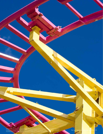© 2019 KPMG LLP, a Delaware limited liability partnership and the U.S. member firm of the KPMG network of independent<br>member firms affiliated with KPMG International Cooperative ("KPMG International"), a Swiss entick All r

 $\sigma$